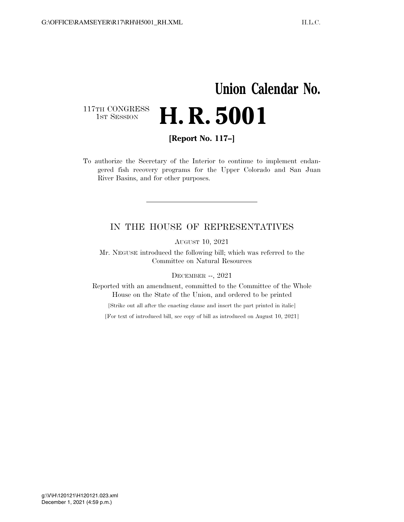## **Union Calendar No.**  117TH CONGRESS<br>1st Session H. R. 5001

**[Report No. 117–]** 

To authorize the Secretary of the Interior to continue to implement endangered fish recovery programs for the Upper Colorado and San Juan River Basins, and for other purposes.

## IN THE HOUSE OF REPRESENTATIVES

AUGUST 10, 2021

Mr. NEGUSE introduced the following bill; which was referred to the Committee on Natural Resources

DECEMBER --, 2021

Reported with an amendment, committed to the Committee of the Whole House on the State of the Union, and ordered to be printed

[Strike out all after the enacting clause and insert the part printed in italic]

[For text of introduced bill, see copy of bill as introduced on August 10, 2021]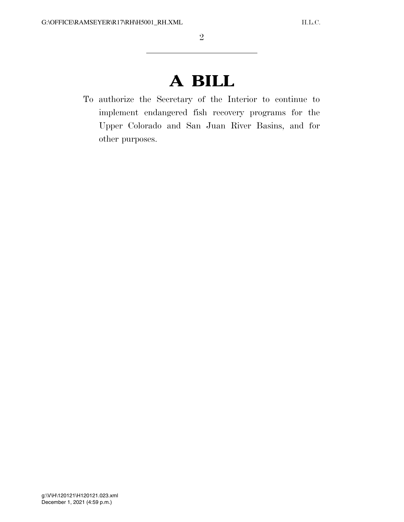## **A BILL**

To authorize the Secretary of the Interior to continue to implement endangered fish recovery programs for the Upper Colorado and San Juan River Basins, and for other purposes.